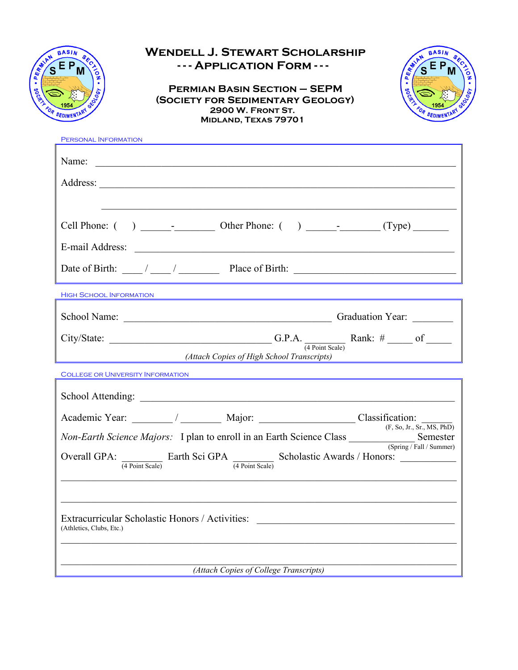

## **Wendell J. Stewart Scholarship - - - Application Form - - -**

 **Permian Basin Section – SEPM (Society for Sedimentary Geology) 2900 W. Front St. Midland, Texas 79701**



| PERSONAL INFORMATION                                                                                                                                                                                                                                       |  |  |  |  |
|------------------------------------------------------------------------------------------------------------------------------------------------------------------------------------------------------------------------------------------------------------|--|--|--|--|
| Name:                                                                                                                                                                                                                                                      |  |  |  |  |
|                                                                                                                                                                                                                                                            |  |  |  |  |
|                                                                                                                                                                                                                                                            |  |  |  |  |
|                                                                                                                                                                                                                                                            |  |  |  |  |
|                                                                                                                                                                                                                                                            |  |  |  |  |
| Date of Birth: $\frac{1}{\sqrt{2\pi}}$ / $\frac{1}{\sqrt{2\pi}}$ Place of Birth:                                                                                                                                                                           |  |  |  |  |
| <b>HIGH SCHOOL INFORMATION</b>                                                                                                                                                                                                                             |  |  |  |  |
|                                                                                                                                                                                                                                                            |  |  |  |  |
| City/State: $\qquad \qquad \qquad \qquad \qquad \qquad \qquad \qquad \text{G.P.A.} \qquad \qquad \qquad \qquad \text{Rank:} \# \qquad \qquad \text{of} \qquad \qquad \qquad \qquad \qquad \text{G.P.A.}$                                                   |  |  |  |  |
| (Attach Copies of High School Transcripts)                                                                                                                                                                                                                 |  |  |  |  |
| <b>COLLEGE OR UNIVERSITY INFORMATION</b>                                                                                                                                                                                                                   |  |  |  |  |
|                                                                                                                                                                                                                                                            |  |  |  |  |
|                                                                                                                                                                                                                                                            |  |  |  |  |
| Non-Earth Science Majors: I plan to enroll in an Earth Science Class Semester<br>Semester (Spring/Fall/Summer)                                                                                                                                             |  |  |  |  |
| Overall GPA: $\frac{1}{(4 \text{ Point Scale})}$ Earth Sci GPA $\frac{1}{(4 \text{ Point Scale})}$ Scholastic Awards / Honors:                                                                                                                             |  |  |  |  |
|                                                                                                                                                                                                                                                            |  |  |  |  |
| Extracurricular Scholastic Honors / Activities: [2015] [2015] [2016] [2016] [2016] [2016] [2016] [2016] [2016] [2016] [2016] [2016] [2016] [2016] [2016] [2016] [2016] [2016] [2016] [2016] [2016] [2016] [2016] [2016] [2016]<br>(Athletics, Clubs, Etc.) |  |  |  |  |
| (Attach Copies of College Transcripts)                                                                                                                                                                                                                     |  |  |  |  |